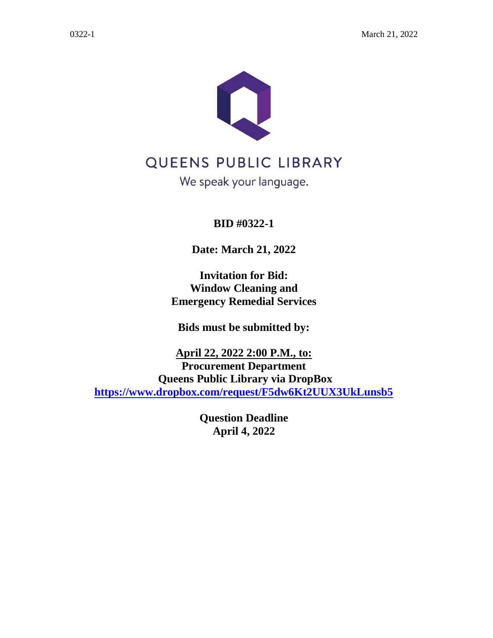

# QUEENS PUBLIC LIBRARY

We speak your language.

**BID #0322-1**

**Date: March 21, 2022**

**Invitation for Bid: Window Cleaning and Emergency Remedial Services**

**Bids must be submitted by:**

**April 22, 2022 2:00 P.M., to: Procurement Department Queens Public Library via DropBox <https://www.dropbox.com/request/F5dw6Kt2UUX3UkLunsb5>**

> **Question Deadline April 4, 2022**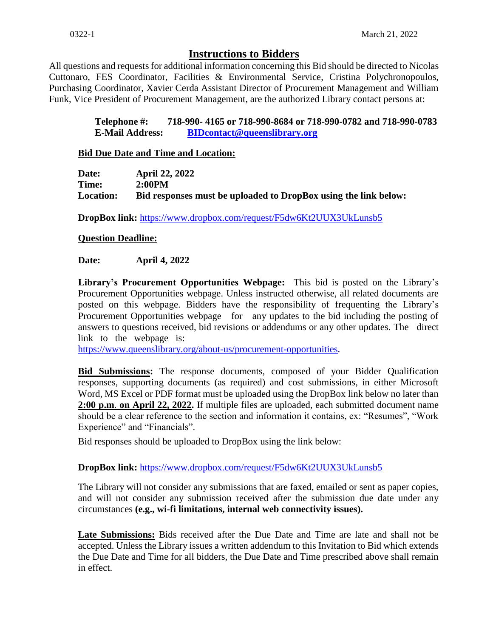# **Instructions to Bidders**

All questions and requests for additional information concerning this Bid should be directed to Nicolas Cuttonaro, FES Coordinator, Facilities & Environmental Service, Cristina Polychronopoulos, Purchasing Coordinator, Xavier Cerda Assistant Director of Procurement Management and William Funk, Vice President of Procurement Management, are the authorized Library contact persons at:

> **Telephone #: 718-990- 4165 or 718-990-8684 or 718-990-0782 and 718-990-0783 E-Mail Address: [BIDcontact@queenslibrary.org](mailto:BIDcontact@queenslibrary.org)**

**Bid Due Date and Time and Location:**

**Date: April 22, 2022 Time: 2:00PM Location: Bid responses must be uploaded to DropBox using the link below:**

**DropBox link:** <https://www.dropbox.com/request/F5dw6Kt2UUX3UkLunsb5>

### **Question Deadline:**

**Date: April 4, 2022**

**Library's Procurement Opportunities Webpage:** This bid is posted on the Library's Procurement Opportunities webpage. Unless instructed otherwise, all related documents are posted on this webpage. Bidders have the responsibility of frequenting the Library's Procurement Opportunities webpage for any updates to the bid including the posting of answers to questions received, bid revisions or addendums or any other updates. The direct link to the webpage is:

[https://www.queenslibrary.org/about-us/procurement-opportunities.](https://www.queenslibrary.org/about-us/procurement-opportunities)

**Bid Submissions:** The response documents, composed of your Bidder Qualification responses, supporting documents (as required) and cost submissions, in either Microsoft Word, MS Excel or PDF format must be uploaded using the DropBox link below no later than **2:00 p.m**. **on April 22, 2022.** If multiple files are uploaded, each submitted document name should be a clear reference to the section and information it contains, ex: "Resumes", "Work Experience" and "Financials".

Bid responses should be uploaded to DropBox using the link below:

# **DropBox link:** <https://www.dropbox.com/request/F5dw6Kt2UUX3UkLunsb5>

The Library will not consider any submissions that are faxed, emailed or sent as paper copies, and will not consider any submission received after the submission due date under any circumstances **(e.g., wi-fi limitations, internal web connectivity issues).**

**Late Submissions:** Bids received after the Due Date and Time are late and shall not be accepted. Unless the Library issues a written addendum to this Invitation to Bid which extends the Due Date and Time for all bidders, the Due Date and Time prescribed above shall remain in effect.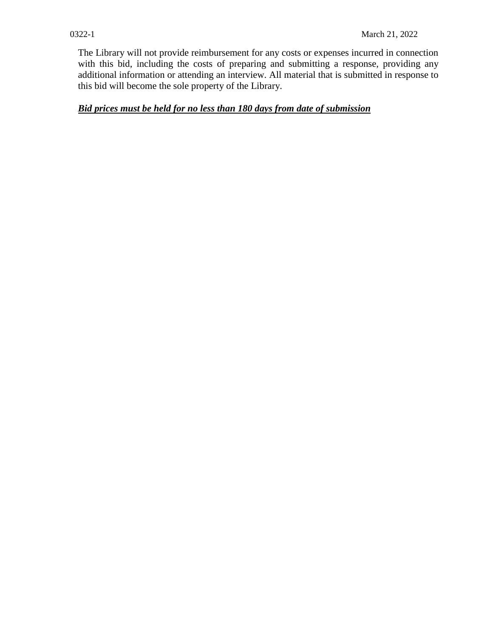The Library will not provide reimbursement for any costs or expenses incurred in connection with this bid, including the costs of preparing and submitting a response, providing any additional information or attending an interview. All material that is submitted in response to this bid will become the sole property of the Library.

# *Bid prices must be held for no less than 180 days from date of submission*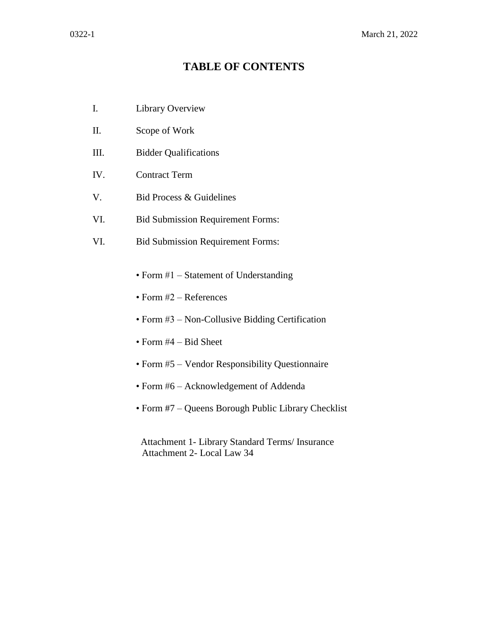# **TABLE OF CONTENTS**

- I. Library Overview
- II. Scope of Work
- III. Bidder Qualifications
- IV. Contract Term
- V. Bid Process & Guidelines
- VI. Bid Submission Requirement Forms:
- VI. Bid Submission Requirement Forms:
	- Form #1 Statement of Understanding
	- Form #2 References
	- Form #3 Non-Collusive Bidding Certification
	- Form #4 Bid Sheet
	- Form #5 Vendor Responsibility Questionnaire
	- Form #6 Acknowledgement of Addenda
	- Form #7 Queens Borough Public Library Checklist
	- Attachment 1- Library Standard Terms/ Insurance Attachment 2- Local Law 34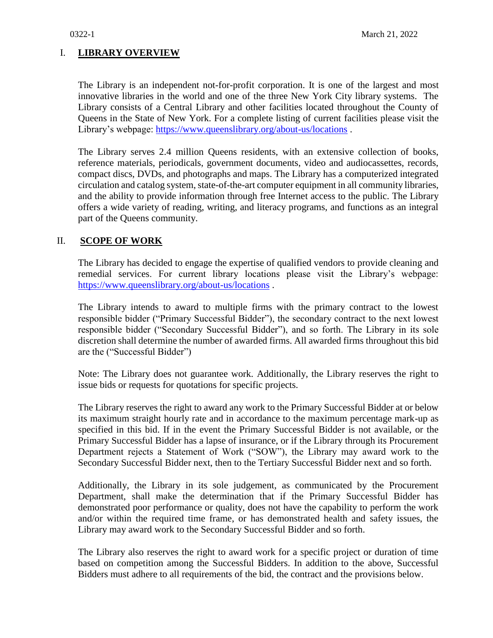# I. **LIBRARY OVERVIEW**

The Library is an independent not-for-profit corporation. It is one of the largest and most innovative libraries in the world and one of the three New York City library systems. The Library consists of a Central Library and other facilities located throughout the County of Queens in the State of New York. For a complete listing of current facilities please visit the Library's webpage: <https://www.queenslibrary.org/about-us/locations> .

The Library serves 2.4 million Queens residents, with an extensive collection of books, reference materials, periodicals, government documents, video and audiocassettes, records, compact discs, DVDs, and photographs and maps. The Library has a computerized integrated circulation and catalog system, state-of-the-art computer equipment in all community libraries, and the ability to provide information through free Internet access to the public. The Library offers a wide variety of reading, writing, and literacy programs, and functions as an integral part of the Queens community.

# II. **SCOPE OF WORK**

The Library has decided to engage the expertise of qualified vendors to provide cleaning and remedial services. For current library locations please visit the Library's webpage: <https://www.queenslibrary.org/about-us/locations> .

The Library intends to award to multiple firms with the primary contract to the lowest responsible bidder ("Primary Successful Bidder"), the secondary contract to the next lowest responsible bidder ("Secondary Successful Bidder"), and so forth. The Library in its sole discretion shall determine the number of awarded firms. All awarded firms throughout this bid are the ("Successful Bidder")

Note: The Library does not guarantee work. Additionally, the Library reserves the right to issue bids or requests for quotations for specific projects.

The Library reserves the right to award any work to the Primary Successful Bidder at or below its maximum straight hourly rate and in accordance to the maximum percentage mark-up as specified in this bid. If in the event the Primary Successful Bidder is not available, or the Primary Successful Bidder has a lapse of insurance, or if the Library through its Procurement Department rejects a Statement of Work ("SOW"), the Library may award work to the Secondary Successful Bidder next, then to the Tertiary Successful Bidder next and so forth.

Additionally, the Library in its sole judgement, as communicated by the Procurement Department, shall make the determination that if the Primary Successful Bidder has demonstrated poor performance or quality, does not have the capability to perform the work and/or within the required time frame, or has demonstrated health and safety issues, the Library may award work to the Secondary Successful Bidder and so forth.

The Library also reserves the right to award work for a specific project or duration of time based on competition among the Successful Bidders. In addition to the above, Successful Bidders must adhere to all requirements of the bid, the contract and the provisions below.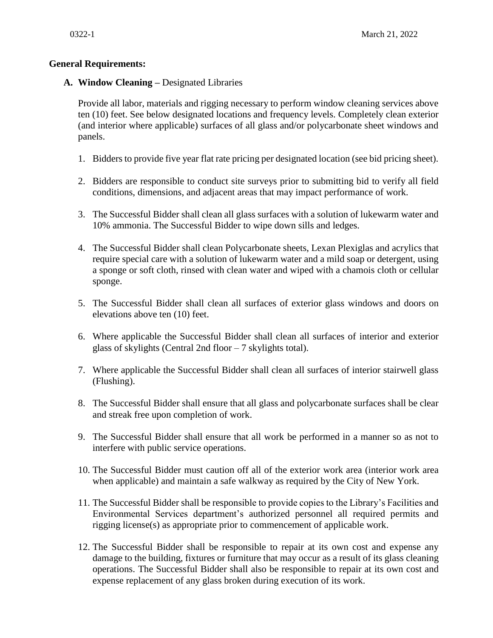# **General Requirements:**

**A. Window Cleaning –** Designated Libraries

Provide all labor, materials and rigging necessary to perform window cleaning services above ten (10) feet. See below designated locations and frequency levels. Completely clean exterior (and interior where applicable) surfaces of all glass and/or polycarbonate sheet windows and panels.

- 1. Bidders to provide five year flat rate pricing per designated location (see bid pricing sheet).
- 2. Bidders are responsible to conduct site surveys prior to submitting bid to verify all field conditions, dimensions, and adjacent areas that may impact performance of work.
- 3. The Successful Bidder shall clean all glass surfaces with a solution of lukewarm water and 10% ammonia. The Successful Bidder to wipe down sills and ledges.
- 4. The Successful Bidder shall clean Polycarbonate sheets, Lexan Plexiglas and acrylics that require special care with a solution of lukewarm water and a mild soap or detergent, using a sponge or soft cloth, rinsed with clean water and wiped with a chamois cloth or cellular sponge.
- 5. The Successful Bidder shall clean all surfaces of exterior glass windows and doors on elevations above ten (10) feet.
- 6. Where applicable the Successful Bidder shall clean all surfaces of interior and exterior glass of skylights (Central 2nd floor – 7 skylights total).
- 7. Where applicable the Successful Bidder shall clean all surfaces of interior stairwell glass (Flushing).
- 8. The Successful Bidder shall ensure that all glass and polycarbonate surfaces shall be clear and streak free upon completion of work.
- 9. The Successful Bidder shall ensure that all work be performed in a manner so as not to interfere with public service operations.
- 10. The Successful Bidder must caution off all of the exterior work area (interior work area when applicable) and maintain a safe walkway as required by the City of New York.
- 11. The Successful Bidder shall be responsible to provide copies to the Library's Facilities and Environmental Services department's authorized personnel all required permits and rigging license(s) as appropriate prior to commencement of applicable work.
- 12. The Successful Bidder shall be responsible to repair at its own cost and expense any damage to the building, fixtures or furniture that may occur as a result of its glass cleaning operations. The Successful Bidder shall also be responsible to repair at its own cost and expense replacement of any glass broken during execution of its work.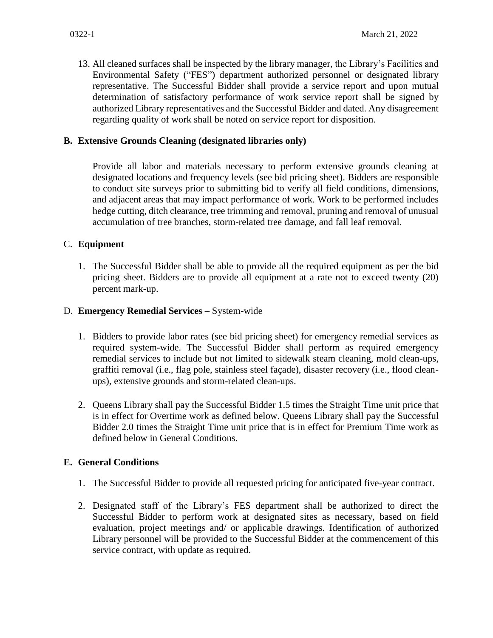13. All cleaned surfaces shall be inspected by the library manager, the Library's Facilities and Environmental Safety ("FES") department authorized personnel or designated library representative. The Successful Bidder shall provide a service report and upon mutual determination of satisfactory performance of work service report shall be signed by authorized Library representatives and the Successful Bidder and dated. Any disagreement regarding quality of work shall be noted on service report for disposition.

# **B. Extensive Grounds Cleaning (designated libraries only)**

Provide all labor and materials necessary to perform extensive grounds cleaning at designated locations and frequency levels (see bid pricing sheet). Bidders are responsible to conduct site surveys prior to submitting bid to verify all field conditions, dimensions, and adjacent areas that may impact performance of work. Work to be performed includes hedge cutting, ditch clearance, tree trimming and removal, pruning and removal of unusual accumulation of tree branches, storm-related tree damage, and fall leaf removal.

### C. **Equipment**

1. The Successful Bidder shall be able to provide all the required equipment as per the bid pricing sheet. Bidders are to provide all equipment at a rate not to exceed twenty (20) percent mark-up.

### D. **Emergency Remedial Services –** System-wide

- 1. Bidders to provide labor rates (see bid pricing sheet) for emergency remedial services as required system-wide. The Successful Bidder shall perform as required emergency remedial services to include but not limited to sidewalk steam cleaning, mold clean-ups, graffiti removal (i.e., flag pole, stainless steel façade), disaster recovery (i.e., flood cleanups), extensive grounds and storm-related clean-ups.
- 2. Queens Library shall pay the Successful Bidder 1.5 times the Straight Time unit price that is in effect for Overtime work as defined below. Queens Library shall pay the Successful Bidder 2.0 times the Straight Time unit price that is in effect for Premium Time work as defined below in General Conditions.

### **E. General Conditions**

- 1. The Successful Bidder to provide all requested pricing for anticipated five-year contract.
- 2. Designated staff of the Library's FES department shall be authorized to direct the Successful Bidder to perform work at designated sites as necessary, based on field evaluation, project meetings and/ or applicable drawings. Identification of authorized Library personnel will be provided to the Successful Bidder at the commencement of this service contract, with update as required.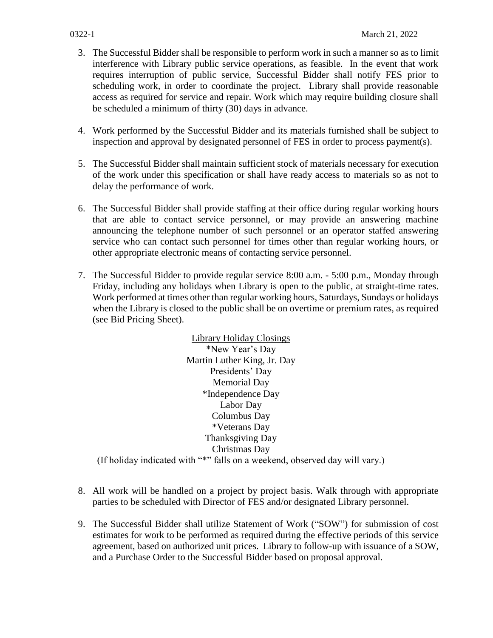- 3. The Successful Bidder shall be responsible to perform work in such a manner so as to limit interference with Library public service operations, as feasible. In the event that work requires interruption of public service, Successful Bidder shall notify FES prior to scheduling work, in order to coordinate the project. Library shall provide reasonable access as required for service and repair. Work which may require building closure shall be scheduled a minimum of thirty (30) days in advance.
- 4. Work performed by the Successful Bidder and its materials furnished shall be subject to inspection and approval by designated personnel of FES in order to process payment(s).
- 5. The Successful Bidder shall maintain sufficient stock of materials necessary for execution of the work under this specification or shall have ready access to materials so as not to delay the performance of work.
- 6. The Successful Bidder shall provide staffing at their office during regular working hours that are able to contact service personnel, or may provide an answering machine announcing the telephone number of such personnel or an operator staffed answering service who can contact such personnel for times other than regular working hours, or other appropriate electronic means of contacting service personnel.
- 7. The Successful Bidder to provide regular service 8:00 a.m. 5:00 p.m., Monday through Friday, including any holidays when Library is open to the public, at straight-time rates. Work performed at times other than regular working hours, Saturdays, Sundays or holidays when the Library is closed to the public shall be on overtime or premium rates, as required (see Bid Pricing Sheet).

Library Holiday Closings \*New Year's Day Martin Luther King, Jr. Day Presidents' Day Memorial Day \*Independence Day Labor Day Columbus Day \*Veterans Day Thanksgiving Day Christmas Day (If holiday indicated with "\*" falls on a weekend, observed day will vary.)

- 8. All work will be handled on a project by project basis. Walk through with appropriate parties to be scheduled with Director of FES and/or designated Library personnel.
- 9. The Successful Bidder shall utilize Statement of Work ("SOW") for submission of cost estimates for work to be performed as required during the effective periods of this service agreement, based on authorized unit prices. Library to follow-up with issuance of a SOW, and a Purchase Order to the Successful Bidder based on proposal approval.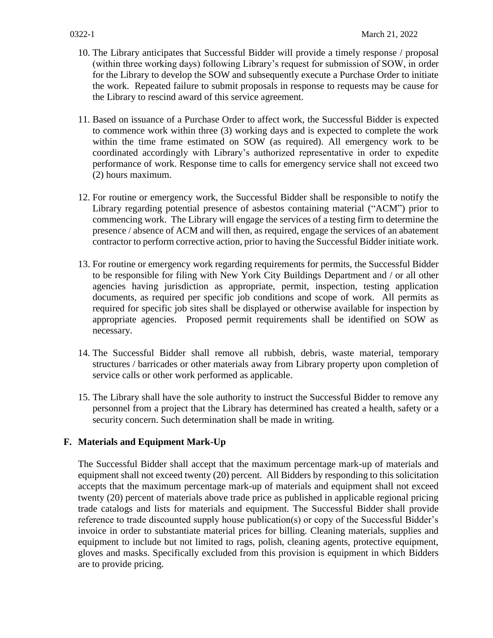- 10. The Library anticipates that Successful Bidder will provide a timely response / proposal (within three working days) following Library's request for submission of SOW, in order for the Library to develop the SOW and subsequently execute a Purchase Order to initiate the work. Repeated failure to submit proposals in response to requests may be cause for the Library to rescind award of this service agreement.
- 11. Based on issuance of a Purchase Order to affect work, the Successful Bidder is expected to commence work within three (3) working days and is expected to complete the work within the time frame estimated on SOW (as required). All emergency work to be coordinated accordingly with Library's authorized representative in order to expedite performance of work. Response time to calls for emergency service shall not exceed two (2) hours maximum.
- 12. For routine or emergency work, the Successful Bidder shall be responsible to notify the Library regarding potential presence of asbestos containing material ("ACM") prior to commencing work. The Library will engage the services of a testing firm to determine the presence / absence of ACM and will then, as required, engage the services of an abatement contractor to perform corrective action, prior to having the Successful Bidder initiate work.
- 13. For routine or emergency work regarding requirements for permits, the Successful Bidder to be responsible for filing with New York City Buildings Department and / or all other agencies having jurisdiction as appropriate, permit, inspection, testing application documents, as required per specific job conditions and scope of work. All permits as required for specific job sites shall be displayed or otherwise available for inspection by appropriate agencies. Proposed permit requirements shall be identified on SOW as necessary.
- 14. The Successful Bidder shall remove all rubbish, debris, waste material, temporary structures / barricades or other materials away from Library property upon completion of service calls or other work performed as applicable.
- 15. The Library shall have the sole authority to instruct the Successful Bidder to remove any personnel from a project that the Library has determined has created a health, safety or a security concern. Such determination shall be made in writing.

# **F. Materials and Equipment Mark-Up**

The Successful Bidder shall accept that the maximum percentage mark-up of materials and equipment shall not exceed twenty (20) percent. All Bidders by responding to this solicitation accepts that the maximum percentage mark-up of materials and equipment shall not exceed twenty (20) percent of materials above trade price as published in applicable regional pricing trade catalogs and lists for materials and equipment. The Successful Bidder shall provide reference to trade discounted supply house publication(s) or copy of the Successful Bidder's invoice in order to substantiate material prices for billing. Cleaning materials, supplies and equipment to include but not limited to rags, polish, cleaning agents, protective equipment, gloves and masks. Specifically excluded from this provision is equipment in which Bidders are to provide pricing.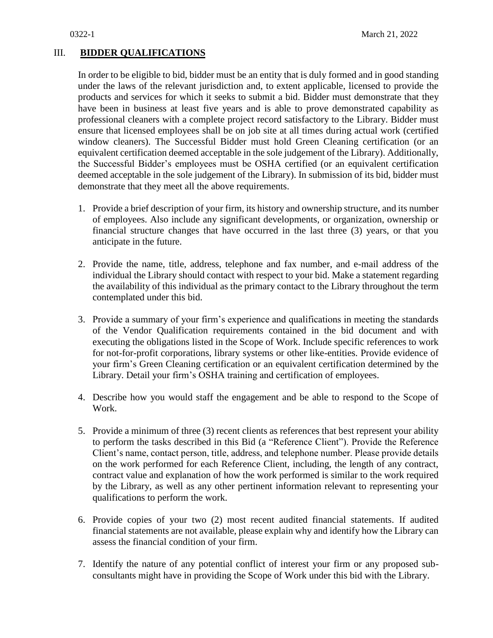### III. **BIDDER QUALIFICATIONS**

In order to be eligible to bid, bidder must be an entity that is duly formed and in good standing under the laws of the relevant jurisdiction and, to extent applicable, licensed to provide the products and services for which it seeks to submit a bid. Bidder must demonstrate that they have been in business at least five years and is able to prove demonstrated capability as professional cleaners with a complete project record satisfactory to the Library. Bidder must ensure that licensed employees shall be on job site at all times during actual work (certified window cleaners). The Successful Bidder must hold Green Cleaning certification (or an equivalent certification deemed acceptable in the sole judgement of the Library). Additionally, the Successful Bidder's employees must be OSHA certified (or an equivalent certification deemed acceptable in the sole judgement of the Library). In submission of its bid, bidder must demonstrate that they meet all the above requirements.

- 1. Provide a brief description of your firm, its history and ownership structure, and its number of employees. Also include any significant developments, or organization, ownership or financial structure changes that have occurred in the last three (3) years, or that you anticipate in the future.
- 2. Provide the name, title, address, telephone and fax number, and e-mail address of the individual the Library should contact with respect to your bid. Make a statement regarding the availability of this individual as the primary contact to the Library throughout the term contemplated under this bid.
- 3. Provide a summary of your firm's experience and qualifications in meeting the standards of the Vendor Qualification requirements contained in the bid document and with executing the obligations listed in the Scope of Work. Include specific references to work for not-for-profit corporations, library systems or other like-entities. Provide evidence of your firm's Green Cleaning certification or an equivalent certification determined by the Library. Detail your firm's OSHA training and certification of employees.
- 4. Describe how you would staff the engagement and be able to respond to the Scope of Work.
- 5. Provide a minimum of three (3) recent clients as references that best represent your ability to perform the tasks described in this Bid (a "Reference Client"). Provide the Reference Client's name, contact person, title, address, and telephone number. Please provide details on the work performed for each Reference Client, including, the length of any contract, contract value and explanation of how the work performed is similar to the work required by the Library, as well as any other pertinent information relevant to representing your qualifications to perform the work.
- 6. Provide copies of your two (2) most recent audited financial statements. If audited financial statements are not available, please explain why and identify how the Library can assess the financial condition of your firm.
- 7. Identify the nature of any potential conflict of interest your firm or any proposed subconsultants might have in providing the Scope of Work under this bid with the Library.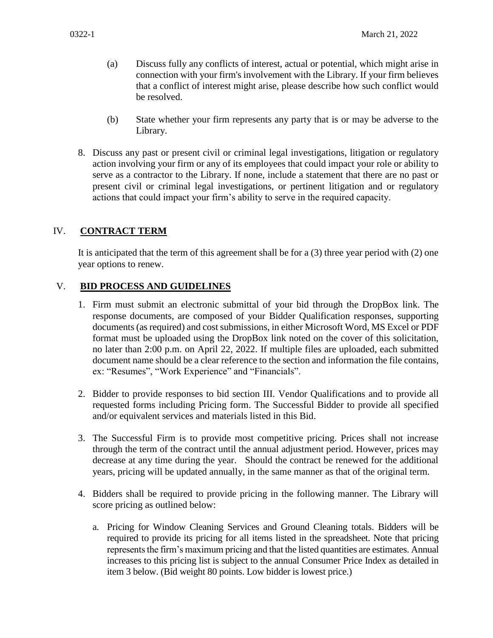- (a) Discuss fully any conflicts of interest, actual or potential, which might arise in connection with your firm's involvement with the Library. If your firm believes that a conflict of interest might arise, please describe how such conflict would be resolved.
- (b) State whether your firm represents any party that is or may be adverse to the Library.
- 8. Discuss any past or present civil or criminal legal investigations, litigation or regulatory action involving your firm or any of its employees that could impact your role or ability to serve as a contractor to the Library. If none, include a statement that there are no past or present civil or criminal legal investigations, or pertinent litigation and or regulatory actions that could impact your firm's ability to serve in the required capacity.

# IV. **CONTRACT TERM**

It is anticipated that the term of this agreement shall be for a (3) three year period with (2) one year options to renew.

# V. **BID PROCESS AND GUIDELINES**

- 1. Firm must submit an electronic submittal of your bid through the DropBox link. The response documents, are composed of your Bidder Qualification responses, supporting documents (as required) and cost submissions, in either Microsoft Word, MS Excel or PDF format must be uploaded using the DropBox link noted on the cover of this solicitation, no later than 2:00 p.m. on April 22, 2022. If multiple files are uploaded, each submitted document name should be a clear reference to the section and information the file contains, ex: "Resumes", "Work Experience" and "Financials".
- 2. Bidder to provide responses to bid section III. Vendor Qualifications and to provide all requested forms including Pricing form. The Successful Bidder to provide all specified and/or equivalent services and materials listed in this Bid.
- 3. The Successful Firm is to provide most competitive pricing. Prices shall not increase through the term of the contract until the annual adjustment period. However, prices may decrease at any time during the year. Should the contract be renewed for the additional years, pricing will be updated annually, in the same manner as that of the original term.
- 4. Bidders shall be required to provide pricing in the following manner. The Library will score pricing as outlined below:
	- a. Pricing for Window Cleaning Services and Ground Cleaning totals. Bidders will be required to provide its pricing for all items listed in the spreadsheet. Note that pricing represents the firm's maximum pricing and that the listed quantities are estimates. Annual increases to this pricing list is subject to the annual Consumer Price Index as detailed in item 3 below. (Bid weight 80 points. Low bidder is lowest price.)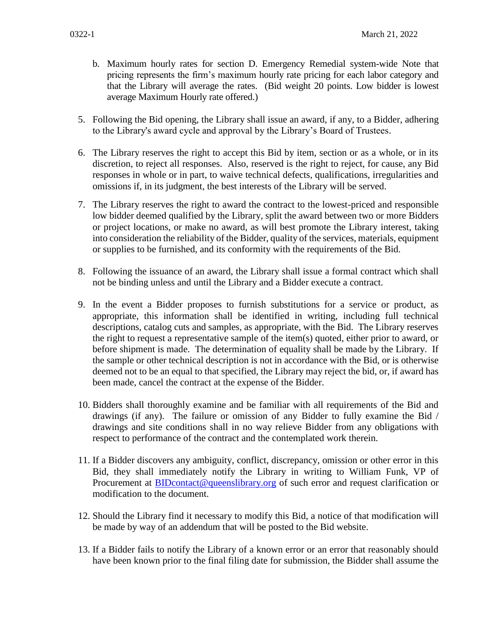- b. Maximum hourly rates for section D. Emergency Remedial system-wide Note that pricing represents the firm's maximum hourly rate pricing for each labor category and that the Library will average the rates. (Bid weight 20 points. Low bidder is lowest average Maximum Hourly rate offered.)
- 5. Following the Bid opening, the Library shall issue an award, if any, to a Bidder, adhering to the Library's award cycle and approval by the Library's Board of Trustees.
- 6. The Library reserves the right to accept this Bid by item, section or as a whole, or in its discretion, to reject all responses. Also, reserved is the right to reject, for cause, any Bid responses in whole or in part, to waive technical defects, qualifications, irregularities and omissions if, in its judgment, the best interests of the Library will be served.
- 7. The Library reserves the right to award the contract to the lowest-priced and responsible low bidder deemed qualified by the Library, split the award between two or more Bidders or project locations, or make no award, as will best promote the Library interest, taking into consideration the reliability of the Bidder, quality of the services, materials, equipment or supplies to be furnished, and its conformity with the requirements of the Bid.
- 8. Following the issuance of an award, the Library shall issue a formal contract which shall not be binding unless and until the Library and a Bidder execute a contract.
- 9. In the event a Bidder proposes to furnish substitutions for a service or product, as appropriate, this information shall be identified in writing, including full technical descriptions, catalog cuts and samples, as appropriate, with the Bid. The Library reserves the right to request a representative sample of the item(s) quoted, either prior to award, or before shipment is made. The determination of equality shall be made by the Library. If the sample or other technical description is not in accordance with the Bid, or is otherwise deemed not to be an equal to that specified, the Library may reject the bid, or, if award has been made, cancel the contract at the expense of the Bidder.
- 10. Bidders shall thoroughly examine and be familiar with all requirements of the Bid and drawings (if any). The failure or omission of any Bidder to fully examine the Bid / drawings and site conditions shall in no way relieve Bidder from any obligations with respect to performance of the contract and the contemplated work therein.
- 11. If a Bidder discovers any ambiguity, conflict, discrepancy, omission or other error in this Bid, they shall immediately notify the Library in writing to William Funk, VP of Procurement at [BIDcontact@queenslibrary.org](mailto:BIDcontact@queenslibrary.org) of such error and request clarification or modification to the document.
- 12. Should the Library find it necessary to modify this Bid, a notice of that modification will be made by way of an addendum that will be posted to the Bid website.
- 13. If a Bidder fails to notify the Library of a known error or an error that reasonably should have been known prior to the final filing date for submission, the Bidder shall assume the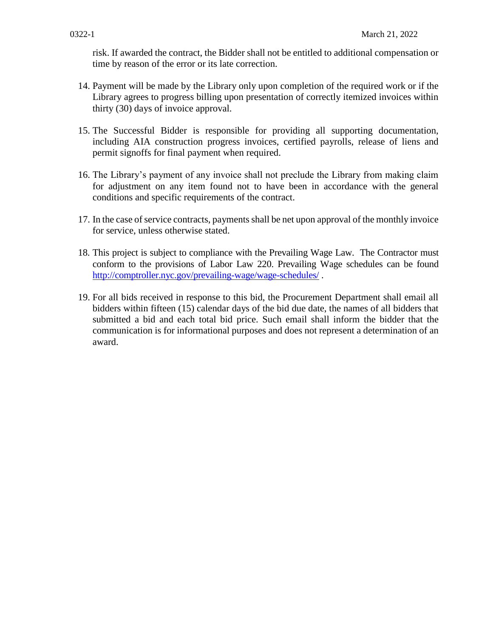risk. If awarded the contract, the Bidder shall not be entitled to additional compensation or time by reason of the error or its late correction.

- 14. Payment will be made by the Library only upon completion of the required work or if the Library agrees to progress billing upon presentation of correctly itemized invoices within thirty (30) days of invoice approval.
- 15. The Successful Bidder is responsible for providing all supporting documentation, including AIA construction progress invoices, certified payrolls, release of liens and permit signoffs for final payment when required.
- 16. The Library's payment of any invoice shall not preclude the Library from making claim for adjustment on any item found not to have been in accordance with the general conditions and specific requirements of the contract.
- 17. In the case of service contracts, payments shall be net upon approval of the monthly invoice for service, unless otherwise stated.
- 18. This project is subject to compliance with the Prevailing Wage Law. The Contractor must conform to the provisions of Labor Law 220. Prevailing Wage schedules can be found <http://comptroller.nyc.gov/prevailing-wage/wage-schedules/> .
- 19. For all bids received in response to this bid, the Procurement Department shall email all bidders within fifteen (15) calendar days of the bid due date, the names of all bidders that submitted a bid and each total bid price. Such email shall inform the bidder that the communication is for informational purposes and does not represent a determination of an award.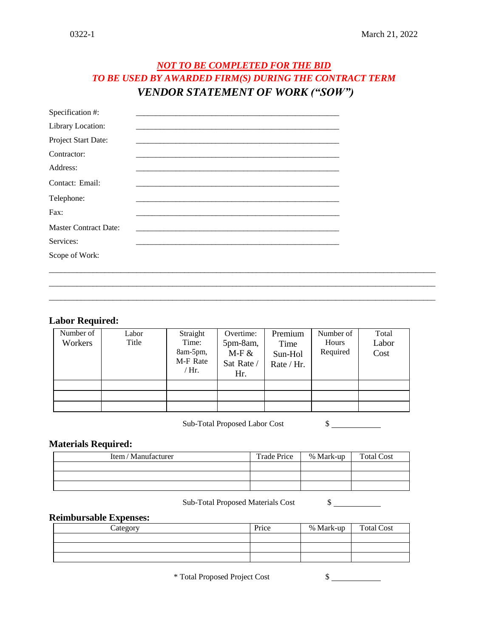# *NOT TO BE COMPLETED FOR THE BID TO BE USED BY AWARDED FIRM(S) DURING THE CONTRACT TERM VENDOR STATEMENT OF WORK ("SOW")*

| Specification #:             |                                                                                                                                                                                                                               |  |  |
|------------------------------|-------------------------------------------------------------------------------------------------------------------------------------------------------------------------------------------------------------------------------|--|--|
| Library Location:            | the control of the control of the control of the control of the control of the control of the control of the control of the control of the control of the control of the control of the control of the control of the control |  |  |
| Project Start Date:          | the control of the control of the control of the control of the control of the control of the control of the control of the control of the control of the control of the control of the control of the control of the control |  |  |
| Contractor:                  |                                                                                                                                                                                                                               |  |  |
| Address:                     |                                                                                                                                                                                                                               |  |  |
| Contact: Email:              |                                                                                                                                                                                                                               |  |  |
| Telephone:                   |                                                                                                                                                                                                                               |  |  |
| Fax:                         |                                                                                                                                                                                                                               |  |  |
| <b>Master Contract Date:</b> |                                                                                                                                                                                                                               |  |  |
| Services:                    |                                                                                                                                                                                                                               |  |  |
| Scope of Work:               |                                                                                                                                                                                                                               |  |  |
|                              |                                                                                                                                                                                                                               |  |  |

### **Labor Required:**

| Number of<br>Workers | Labor<br>Title | Straight<br>Time:                     | Overtime:<br>5pm-8am,        | Premium<br>Time       | Number of<br>Hours | Total<br>Labor |
|----------------------|----------------|---------------------------------------|------------------------------|-----------------------|--------------------|----------------|
|                      |                | 8am-5pm,<br>M-F Rate<br>/ $\rm{H}$ r. | $M-F &$<br>Sat Rate /<br>Hr. | Sun-Hol<br>Rate / Hr. | Required           | Cost           |
|                      |                |                                       |                              |                       |                    |                |
|                      |                |                                       |                              |                       |                    |                |
|                      |                |                                       |                              |                       |                    |                |

 $\_$  ,  $\_$  ,  $\_$  ,  $\_$  ,  $\_$  ,  $\_$  ,  $\_$  ,  $\_$  ,  $\_$  ,  $\_$  ,  $\_$  ,  $\_$  ,  $\_$  ,  $\_$  ,  $\_$  ,  $\_$  ,  $\_$  ,  $\_$  ,  $\_$  ,  $\_$  ,  $\_$  ,  $\_$  ,  $\_$  ,  $\_$  ,  $\_$  ,  $\_$  ,  $\_$  ,  $\_$  ,  $\_$  ,  $\_$  ,  $\_$  ,  $\_$  ,  $\_$  ,  $\_$  ,  $\_$  ,  $\_$  ,  $\_$  ,  $\_$  ,  $\_$  ,  $\_$  ,  $\_$  ,  $\_$  ,  $\_$  ,  $\_$  ,  $\_$  ,  $\_$  ,  $\_$  ,  $\_$  ,  $\_$  ,  $\_$  ,  $\_$  ,  $\_$  ,  $\_$  ,  $\_$  ,  $\_$  ,  $\_$  ,  $\_$  ,  $\_$  ,  $\_$  ,  $\_$  ,  $\_$  ,  $\_$  ,  $\_$  ,  $\_$  ,  $\_$  ,  $\_$  ,  $\_$  ,  $\_$  ,  $\_$  ,  $\_$  ,  $\_$  ,  $\_$  ,  $\_$  ,  $\_$  ,

Sub-Total Proposed Labor Cost  $\qquad \qquad$  \$

### **Materials Required:**

| Item / Manufacturer | <b>Trade Price</b> | % Mark-up | <b>Total Cost</b> |
|---------------------|--------------------|-----------|-------------------|
|                     |                    |           |                   |
|                     |                    |           |                   |
|                     |                    |           |                   |

# Sub-Total Proposed Materials Cost  $\qquad \qquad$  \[\sqrt{\sqrt{\sqrt{\sqrt{\sqrt{\sqrt{\sqrt{\sqrt{\sqrt{\sqrt{\sqrt{\sqrt{\sqrt{\sqrt{\sqrt{\sqrt{\sqrt{\sqrt{\sqrt{\sqrt{\sqrt{\sqrt{\sqrt{\sqrt{\sqrt{\sqrt{\sqrt{\sqrt{\sqrt{\sq

### **Reimbursable Expenses:**

| Category | Price | % Mark-up | <b>Total Cost</b> |
|----------|-------|-----------|-------------------|
|          |       |           |                   |
|          |       |           |                   |
|          |       |           |                   |

\* Total Proposed Project Cost \$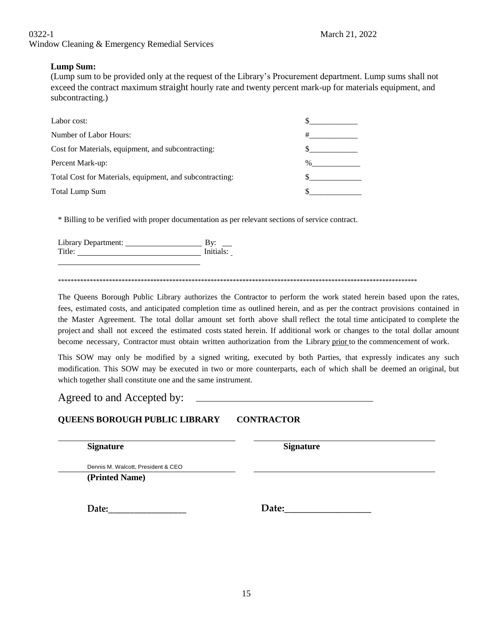### **Lump Sum:**

(Lump sum to be provided only at the request of the Library's Procurement department. Lump sums shall not exceed the contract maximum straight hourly rate and twenty percent mark-up for materials equipment, and subcontracting.)

| Labor cost:                                              |      |
|----------------------------------------------------------|------|
| Number of Labor Hours:                                   |      |
| Cost for Materials, equipment, and subcontracting:       |      |
| Percent Mark-up:                                         | $\%$ |
| Total Cost for Materials, equipment, and subcontracting: |      |
| <b>Total Lump Sum</b>                                    |      |

\* Billing to be verified with proper documentation as per relevant sections of service contract.

Library Department: By: Title: Initials:

\*\*\*\*\*\*\*\*\*\*\*\*\*\*\*\*\*\*\*\*\*\*\*\*\*\*\*\*\*\*\*\*\*\*\*\*\*\*\*\*\*\*\*\*\*\*\*\*\*\*\*\*\*\*\*\*\*\*\*\*\*\*\*\*\*\*\*\*\*\*\*\*\*\*\*\*\*\*\*\*\*\*\*\*\*\*\*\*\*\*\*\*\*\*\*\*\*\*\*\*\*\*\*\*\*\*\*\*\*\*\*\*\*

The Queens Borough Public Library authorizes the Contractor to perform the work stated herein based upon the rates, fees, estimated costs, and anticipated completion time as outlined herein, and as per the contract provisions contained in the Master Agreement. The total dollar amount set forth above shall reflect the total time anticipated to complete the project and shall not exceed the estimated costs stated herein. If additional work or changes to the total dollar amount become necessary, Contractor must obtain written authorization from the Library prior to the commencement of work.

This SOW may only be modified by a signed writing, executed by both Parties, that expressly indicates any such modification. This SOW may be executed in two or more counterparts, each of which shall be deemed an original, but which together shall constitute one and the same instrument.

Agreed to and Accepted by:

### **QUEENS BOROUGH PUBLIC LIBRARY CONTRACTOR**

| <b>Signature</b>                   | <b>Signature</b> |
|------------------------------------|------------------|
| Dennis M. Walcott, President & CEO |                  |
| (Printed Name)                     |                  |
|                                    |                  |
| Date:                              | Date:            |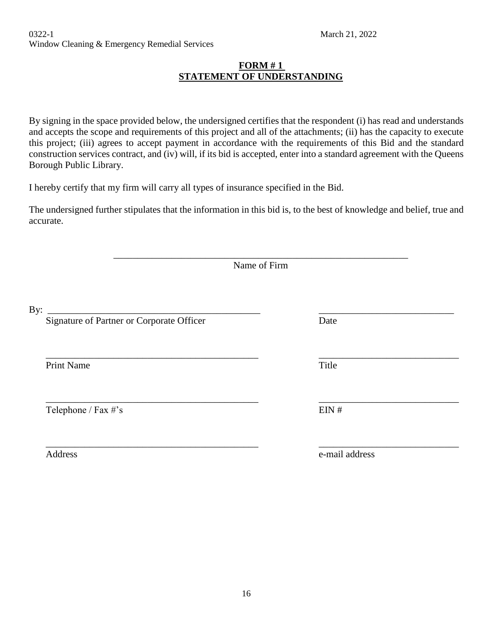# **FORM # 1 STATEMENT OF UNDERSTANDING**

By signing in the space provided below, the undersigned certifies that the respondent (i) has read and understands and accepts the scope and requirements of this project and all of the attachments; (ii) has the capacity to execute this project; (iii) agrees to accept payment in accordance with the requirements of this Bid and the standard construction services contract, and (iv) will, if its bid is accepted, enter into a standard agreement with the Queens Borough Public Library.

I hereby certify that my firm will carry all types of insurance specified in the Bid.

The undersigned further stipulates that the information in this bid is, to the best of knowledge and belief, true and accurate.

> \_\_\_\_\_\_\_\_\_\_\_\_\_\_\_\_\_\_\_\_\_\_\_\_\_\_\_\_\_\_\_\_\_\_\_\_\_\_\_\_\_\_\_\_\_\_\_\_\_\_\_\_\_\_\_\_\_\_\_\_\_ Name of Firm

By: \_\_\_\_\_\_\_\_\_\_\_\_\_\_\_\_\_\_\_\_\_\_\_\_\_\_\_\_\_\_\_\_\_\_\_\_\_\_\_\_\_\_\_\_ \_\_\_\_\_\_\_\_\_\_\_\_\_\_\_\_\_\_\_\_\_\_\_\_\_\_\_\_ Signature of Partner or Corporate Officer Date  $\overline{\phantom{a}}$  , and the contribution of the contribution of the contribution of  $\overline{\phantom{a}}$  , and  $\overline{\phantom{a}}$  , and  $\overline{\phantom{a}}$  , and  $\overline{\phantom{a}}$  , and  $\overline{\phantom{a}}$  , and  $\overline{\phantom{a}}$  , and  $\overline{\phantom{a}}$  , and  $\overline{\phantom{a}}$  , and Print Name Title  $\overline{\phantom{a}}$  , and the contribution of the contribution of the contribution of  $\overline{\phantom{a}}$  , and  $\overline{\phantom{a}}$  , and  $\overline{\phantom{a}}$  , and  $\overline{\phantom{a}}$  , and  $\overline{\phantom{a}}$  , and  $\overline{\phantom{a}}$  , and  $\overline{\phantom{a}}$  , and  $\overline{\phantom{a}}$  , and Telephone / Fax  $\#$ 's EIN  $\#$ 

 $\overline{\phantom{a}}$  ,  $\overline{\phantom{a}}$  ,  $\overline{\phantom{a}}$  ,  $\overline{\phantom{a}}$  ,  $\overline{\phantom{a}}$  ,  $\overline{\phantom{a}}$  ,  $\overline{\phantom{a}}$  ,  $\overline{\phantom{a}}$  ,  $\overline{\phantom{a}}$  ,  $\overline{\phantom{a}}$  ,  $\overline{\phantom{a}}$  ,  $\overline{\phantom{a}}$  ,  $\overline{\phantom{a}}$  ,  $\overline{\phantom{a}}$  ,  $\overline{\phantom{a}}$  ,  $\overline{\phantom{a}}$ 

Address e-mail address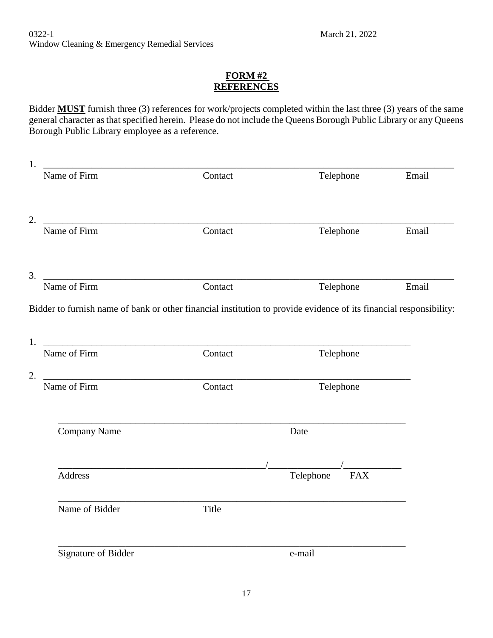# **FORM #2 REFERENCES**

Bidder **MUST** furnish three (3) references for work/projects completed within the last three (3) years of the same general character as that specified herein. Please do not include the Queens Borough Public Library or any Queens Borough Public Library employee as a reference.

| Name of Firm        | Contact | Telephone                | Email |
|---------------------|---------|--------------------------|-------|
|                     |         |                          |       |
| Name of Firm        | Contact | Telephone                | Email |
|                     |         |                          |       |
| Name of Firm        | Contact | Telephone                | Email |
| Name of Firm        | Contact | Telephone                |       |
|                     |         |                          |       |
| Name of Firm        | Contact | Telephone                |       |
| Company Name        |         | Date                     |       |
|                     |         |                          |       |
| Address             |         | Telephone<br>${\rm FAX}$ |       |
| Name of Bidder      | Title   |                          |       |
| Signature of Bidder |         | e-mail                   |       |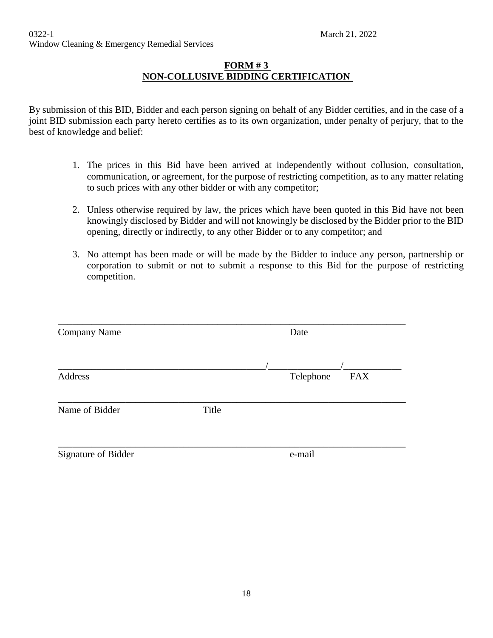### **FORM # 3 NON-COLLUSIVE BIDDING CERTIFICATION**

By submission of this BID, Bidder and each person signing on behalf of any Bidder certifies, and in the case of a joint BID submission each party hereto certifies as to its own organization, under penalty of perjury, that to the best of knowledge and belief:

- 1. The prices in this Bid have been arrived at independently without collusion, consultation, communication, or agreement, for the purpose of restricting competition, as to any matter relating to such prices with any other bidder or with any competitor;
- 2. Unless otherwise required by law, the prices which have been quoted in this Bid have not been knowingly disclosed by Bidder and will not knowingly be disclosed by the Bidder prior to the BID opening, directly or indirectly, to any other Bidder or to any competitor; and
- 3. No attempt has been made or will be made by the Bidder to induce any person, partnership or corporation to submit or not to submit a response to this Bid for the purpose of restricting competition.

| <b>Company Name</b> |       | Date                    |
|---------------------|-------|-------------------------|
| Address             |       |                         |
|                     |       | Telephone<br><b>FAX</b> |
| Name of Bidder      | Title |                         |
| Signature of Bidder |       | e-mail                  |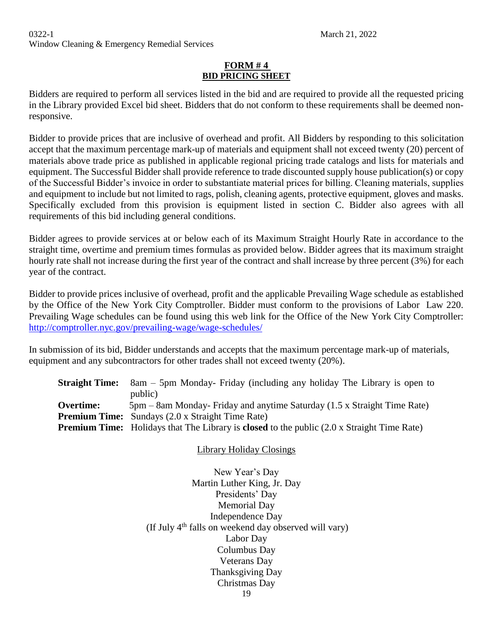### **FORM # 4 BID PRICING SHEET**

Bidders are required to perform all services listed in the bid and are required to provide all the requested pricing in the Library provided Excel bid sheet. Bidders that do not conform to these requirements shall be deemed nonresponsive.

Bidder to provide prices that are inclusive of overhead and profit. All Bidders by responding to this solicitation accept that the maximum percentage mark-up of materials and equipment shall not exceed twenty (20) percent of materials above trade price as published in applicable regional pricing trade catalogs and lists for materials and equipment. The Successful Bidder shall provide reference to trade discounted supply house publication(s) or copy of the Successful Bidder's invoice in order to substantiate material prices for billing. Cleaning materials, supplies and equipment to include but not limited to rags, polish, cleaning agents, protective equipment, gloves and masks. Specifically excluded from this provision is equipment listed in section C. Bidder also agrees with all requirements of this bid including general conditions.

Bidder agrees to provide services at or below each of its Maximum Straight Hourly Rate in accordance to the straight time, overtime and premium times formulas as provided below. Bidder agrees that its maximum straight hourly rate shall not increase during the first year of the contract and shall increase by three percent (3%) for each year of the contract.

Bidder to provide prices inclusive of overhead, profit and the applicable Prevailing Wage schedule as established by the Office of the New York City Comptroller. Bidder must conform to the provisions of Labor Law 220. Prevailing Wage schedules can be found using this web link for the Office of the New York City Comptroller: <http://comptroller.nyc.gov/prevailing-wage/wage-schedules/>

In submission of its bid, Bidder understands and accepts that the maximum percentage mark-up of materials, equipment and any subcontractors for other trades shall not exceed twenty (20%).

| <b>Straight Time:</b> | $8am - 5pm$ Monday- Friday (including any holiday The Library is open to                                 |
|-----------------------|----------------------------------------------------------------------------------------------------------|
|                       | public)                                                                                                  |
| <b>Overtime:</b>      | 5pm – 8am Monday- Friday and anytime Saturday (1.5 x Straight Time Rate)                                 |
|                       | <b>Premium Time:</b> Sundays (2.0 x Straight Time Rate)                                                  |
|                       | <b>Premium Time:</b> Holidays that The Library is <b>closed</b> to the public (2.0 x Straight Time Rate) |
|                       |                                                                                                          |

Library Holiday Closings

19 New Year's Day Martin Luther King, Jr. Day Presidents' Day Memorial Day Independence Day (If July  $4<sup>th</sup>$  falls on weekend day observed will vary) Labor Day Columbus Day Veterans Day Thanksgiving Day Christmas Day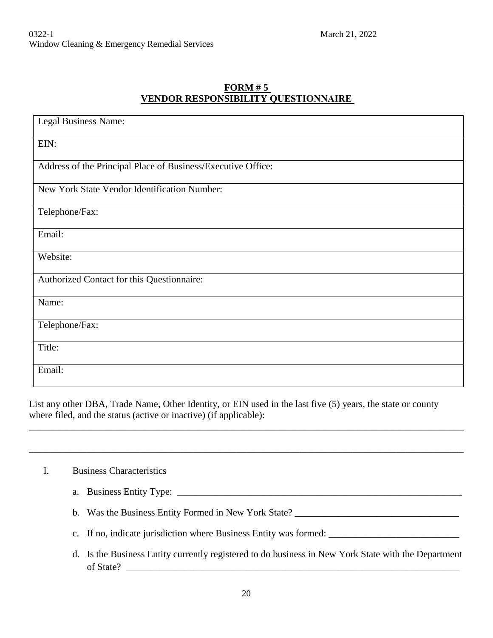### **FORM # 5 VENDOR RESPONSIBILITY QUESTIONNAIRE**

| Legal Business Name:                                         |
|--------------------------------------------------------------|
| EIN:                                                         |
| Address of the Principal Place of Business/Executive Office: |
| New York State Vendor Identification Number:                 |
| Telephone/Fax:                                               |
| Email:                                                       |
| Website:                                                     |
| Authorized Contact for this Questionnaire:                   |
| Name:                                                        |
| Telephone/Fax:                                               |
| Title:                                                       |
| Email:                                                       |

List any other DBA, Trade Name, Other Identity, or EIN used in the last five (5) years, the state or county where filed, and the status (active or inactive) (if applicable):

\_\_\_\_\_\_\_\_\_\_\_\_\_\_\_\_\_\_\_\_\_\_\_\_\_\_\_\_\_\_\_\_\_\_\_\_\_\_\_\_\_\_\_\_\_\_\_\_\_\_\_\_\_\_\_\_\_\_\_\_\_\_\_\_\_\_\_\_\_\_\_\_\_\_\_\_\_\_\_\_\_\_\_\_\_\_\_\_\_\_

\_\_\_\_\_\_\_\_\_\_\_\_\_\_\_\_\_\_\_\_\_\_\_\_\_\_\_\_\_\_\_\_\_\_\_\_\_\_\_\_\_\_\_\_\_\_\_\_\_\_\_\_\_\_\_\_\_\_\_\_\_\_\_\_\_\_\_\_\_\_\_\_\_\_\_\_\_\_\_\_\_\_\_\_\_\_\_\_\_\_

### I. Business Characteristics

- a. Business Entity Type: \_\_\_\_\_\_\_\_\_\_\_\_\_\_\_\_\_\_\_\_\_\_\_\_\_\_\_\_\_\_\_\_\_\_\_\_\_\_\_\_\_\_\_\_\_\_\_\_\_\_\_\_\_\_\_\_\_\_\_
- b. Was the Business Entity Formed in New York State? \_\_\_\_\_\_\_\_\_\_\_\_\_\_\_\_\_\_\_\_\_\_\_\_\_\_\_\_
- c. If no, indicate jurisdiction where Business Entity was formed: \_\_\_\_\_\_\_\_\_\_\_\_\_\_\_\_\_\_\_\_\_\_\_\_\_\_\_
- d. Is the Business Entity currently registered to do business in New York State with the Department of State? \_\_\_\_\_\_\_\_\_\_\_\_\_\_\_\_\_\_\_\_\_\_\_\_\_\_\_\_\_\_\_\_\_\_\_\_\_\_\_\_\_\_\_\_\_\_\_\_\_\_\_\_\_\_\_\_\_\_\_\_\_\_\_\_\_\_\_\_\_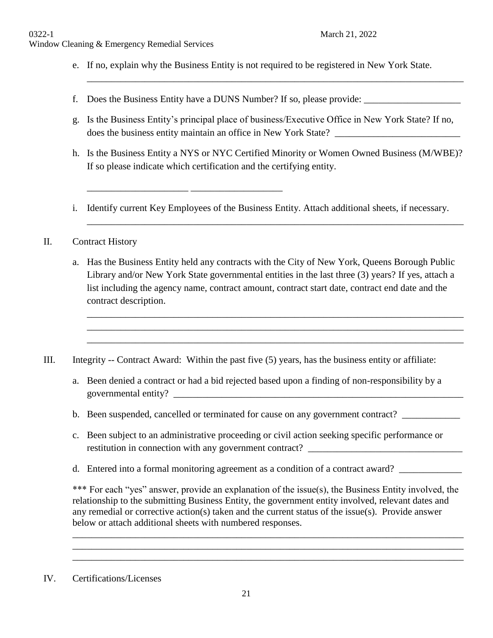- e. If no, explain why the Business Entity is not required to be registered in New York State.
- f. Does the Business Entity have a DUNS Number? If so, please provide:

\_\_\_\_\_\_\_\_\_\_\_\_\_\_\_\_\_\_\_\_\_ \_\_\_\_\_\_\_\_\_\_\_\_\_\_\_\_\_\_\_

g. Is the Business Entity's principal place of business/Executive Office in New York State? If no, does the business entity maintain an office in New York State?

\_\_\_\_\_\_\_\_\_\_\_\_\_\_\_\_\_\_\_\_\_\_\_\_\_\_\_\_\_\_\_\_\_\_\_\_\_\_\_\_\_\_\_\_\_\_\_\_\_\_\_\_\_\_\_\_\_\_\_\_\_\_\_\_\_\_\_\_\_\_\_\_\_\_\_\_\_\_

- h. Is the Business Entity a NYS or NYC Certified Minority or Women Owned Business (M/WBE)? If so please indicate which certification and the certifying entity.
- i. Identify current Key Employees of the Business Entity. Attach additional sheets, if necessary.

\_\_\_\_\_\_\_\_\_\_\_\_\_\_\_\_\_\_\_\_\_\_\_\_\_\_\_\_\_\_\_\_\_\_\_\_\_\_\_\_\_\_\_\_\_\_\_\_\_\_\_\_\_\_\_\_\_\_\_\_\_\_\_\_\_\_\_\_\_\_\_\_\_\_\_\_\_\_

### II. Contract History

a. Has the Business Entity held any contracts with the City of New York, Queens Borough Public Library and/or New York State governmental entities in the last three (3) years? If yes, attach a list including the agency name, contract amount, contract start date, contract end date and the contract description.

\_\_\_\_\_\_\_\_\_\_\_\_\_\_\_\_\_\_\_\_\_\_\_\_\_\_\_\_\_\_\_\_\_\_\_\_\_\_\_\_\_\_\_\_\_\_\_\_\_\_\_\_\_\_\_\_\_\_\_\_\_\_\_\_\_\_\_\_\_\_\_\_\_\_\_\_\_\_ \_\_\_\_\_\_\_\_\_\_\_\_\_\_\_\_\_\_\_\_\_\_\_\_\_\_\_\_\_\_\_\_\_\_\_\_\_\_\_\_\_\_\_\_\_\_\_\_\_\_\_\_\_\_\_\_\_\_\_\_\_\_\_\_\_\_\_\_\_\_\_\_\_\_\_\_\_\_ \_\_\_\_\_\_\_\_\_\_\_\_\_\_\_\_\_\_\_\_\_\_\_\_\_\_\_\_\_\_\_\_\_\_\_\_\_\_\_\_\_\_\_\_\_\_\_\_\_\_\_\_\_\_\_\_\_\_\_\_\_\_\_\_\_\_\_\_\_\_\_\_\_\_\_\_\_\_

- III. Integrity -- Contract Award: Within the past five (5) years, has the business entity or affiliate:
	- a. Been denied a contract or had a bid rejected based upon a finding of non-responsibility by a governmental entity? \_\_\_\_\_\_\_\_\_\_\_\_\_\_\_\_\_\_\_\_\_\_\_\_\_\_\_\_\_\_\_\_\_\_\_\_\_\_\_\_\_\_\_\_\_\_\_\_\_\_\_\_\_\_\_\_\_\_\_\_
	- b. Been suspended, cancelled or terminated for cause on any government contract? \_\_\_\_\_\_\_\_\_\_\_\_\_\_\_\_\_\_\_
	- c. Been subject to an administrative proceeding or civil action seeking specific performance or restitution in connection with any government contract?
	- d. Entered into a formal monitoring agreement as a condition of a contract award?

\*\*\* For each "yes" answer, provide an explanation of the issue(s), the Business Entity involved, the relationship to the submitting Business Entity, the government entity involved, relevant dates and any remedial or corrective action(s) taken and the current status of the issue(s). Provide answer below or attach additional sheets with numbered responses.

\_\_\_\_\_\_\_\_\_\_\_\_\_\_\_\_\_\_\_\_\_\_\_\_\_\_\_\_\_\_\_\_\_\_\_\_\_\_\_\_\_\_\_\_\_\_\_\_\_\_\_\_\_\_\_\_\_\_\_\_\_\_\_\_\_\_\_\_\_\_\_\_\_\_\_\_\_\_\_\_\_ \_\_\_\_\_\_\_\_\_\_\_\_\_\_\_\_\_\_\_\_\_\_\_\_\_\_\_\_\_\_\_\_\_\_\_\_\_\_\_\_\_\_\_\_\_\_\_\_\_\_\_\_\_\_\_\_\_\_\_\_\_\_\_\_\_\_\_\_\_\_\_\_\_\_\_\_\_\_\_\_\_ \_\_\_\_\_\_\_\_\_\_\_\_\_\_\_\_\_\_\_\_\_\_\_\_\_\_\_\_\_\_\_\_\_\_\_\_\_\_\_\_\_\_\_\_\_\_\_\_\_\_\_\_\_\_\_\_\_\_\_\_\_\_\_\_\_\_\_\_\_\_\_\_\_\_\_\_\_\_\_\_\_

IV. Certifications/Licenses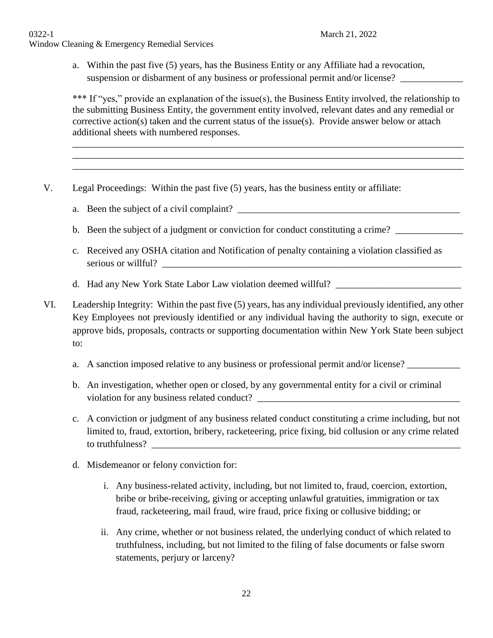a. Within the past five (5) years, has the Business Entity or any Affiliate had a revocation, suspension or disbarment of any business or professional permit and/or license?

\*\*\* If "yes," provide an explanation of the issue(s), the Business Entity involved, the relationship to the submitting Business Entity, the government entity involved, relevant dates and any remedial or corrective action(s) taken and the current status of the issue(s). Provide answer below or attach additional sheets with numbered responses.

\_\_\_\_\_\_\_\_\_\_\_\_\_\_\_\_\_\_\_\_\_\_\_\_\_\_\_\_\_\_\_\_\_\_\_\_\_\_\_\_\_\_\_\_\_\_\_\_\_\_\_\_\_\_\_\_\_\_\_\_\_\_\_\_\_\_\_\_\_\_\_\_\_\_\_\_\_\_\_\_\_ \_\_\_\_\_\_\_\_\_\_\_\_\_\_\_\_\_\_\_\_\_\_\_\_\_\_\_\_\_\_\_\_\_\_\_\_\_\_\_\_\_\_\_\_\_\_\_\_\_\_\_\_\_\_\_\_\_\_\_\_\_\_\_\_\_\_\_\_\_\_\_\_\_\_\_\_\_\_\_\_\_ \_\_\_\_\_\_\_\_\_\_\_\_\_\_\_\_\_\_\_\_\_\_\_\_\_\_\_\_\_\_\_\_\_\_\_\_\_\_\_\_\_\_\_\_\_\_\_\_\_\_\_\_\_\_\_\_\_\_\_\_\_\_\_\_\_\_\_\_\_\_\_\_\_\_\_\_\_\_\_\_\_

- V. Legal Proceedings: Within the past five (5) years, has the business entity or affiliate:
	- a. Been the subject of a civil complaint?
	- b. Been the subject of a judgment or conviction for conduct constituting a crime?
	- c. Received any OSHA citation and Notification of penalty containing a violation classified as serious or willful?
	- d. Had any New York State Labor Law violation deemed willful?
- VI. Leadership Integrity: Within the past five (5) years, has any individual previously identified, any other Key Employees not previously identified or any individual having the authority to sign, execute or approve bids, proposals, contracts or supporting documentation within New York State been subject to:
	- a. A sanction imposed relative to any business or professional permit and/or license?
	- b. An investigation, whether open or closed, by any governmental entity for a civil or criminal violation for any business related conduct? \_\_\_\_\_\_\_\_\_\_\_\_\_\_\_\_\_\_\_\_\_\_\_\_\_\_\_\_\_\_\_\_\_\_\_\_\_\_\_\_\_\_
	- c. A conviction or judgment of any business related conduct constituting a crime including, but not limited to, fraud, extortion, bribery, racketeering, price fixing, bid collusion or any crime related to truthfulness?
	- d. Misdemeanor or felony conviction for:
		- i. Any business-related activity, including, but not limited to, fraud, coercion, extortion, bribe or bribe-receiving, giving or accepting unlawful gratuities, immigration or tax fraud, racketeering, mail fraud, wire fraud, price fixing or collusive bidding; or
		- ii. Any crime, whether or not business related, the underlying conduct of which related to truthfulness, including, but not limited to the filing of false documents or false sworn statements, perjury or larceny?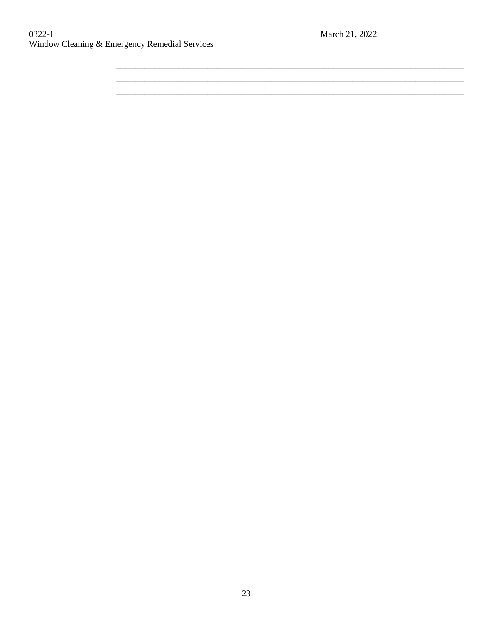23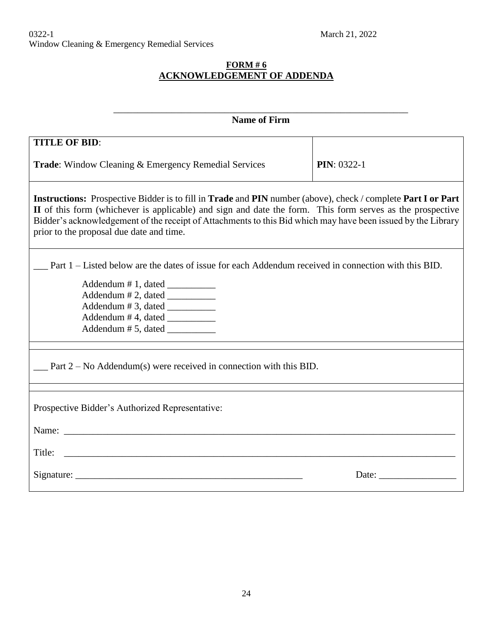### **FORM # 6 ACKNOWLEDGEMENT OF ADDENDA**

\_\_\_\_\_\_\_\_\_\_\_\_\_\_\_\_\_\_\_\_\_\_\_\_\_\_\_\_\_\_\_\_\_\_\_\_\_\_\_\_\_\_\_\_\_\_\_\_\_\_\_\_\_\_\_\_\_\_\_\_\_

| <b>Name of Firm</b>                                                                                                                                                                                                                                                                                                                                                                   |                       |
|---------------------------------------------------------------------------------------------------------------------------------------------------------------------------------------------------------------------------------------------------------------------------------------------------------------------------------------------------------------------------------------|-----------------------|
| <b>TITLE OF BID:</b>                                                                                                                                                                                                                                                                                                                                                                  |                       |
| <b>Trade:</b> Window Cleaning & Emergency Remedial Services                                                                                                                                                                                                                                                                                                                           | <b>PIN</b> : $0322-1$ |
| Instructions: Prospective Bidder is to fill in Trade and PIN number (above), check / complete Part I or Part<br>II of this form (whichever is applicable) and sign and date the form. This form serves as the prospective<br>Bidder's acknowledgement of the receipt of Attachments to this Bid which may have been issued by the Library<br>prior to the proposal due date and time. |                       |
| Part 1 – Listed below are the dates of issue for each Addendum received in connection with this BID.                                                                                                                                                                                                                                                                                  |                       |
|                                                                                                                                                                                                                                                                                                                                                                                       |                       |
|                                                                                                                                                                                                                                                                                                                                                                                       |                       |
| Addendum #3, dated __________                                                                                                                                                                                                                                                                                                                                                         |                       |
| Addendum #4, dated __________                                                                                                                                                                                                                                                                                                                                                         |                       |
| Addendum #5, dated ___________                                                                                                                                                                                                                                                                                                                                                        |                       |
| $\pm$ Part 2 – No Addendum(s) were received in connection with this BID.                                                                                                                                                                                                                                                                                                              |                       |
| Prospective Bidder's Authorized Representative:                                                                                                                                                                                                                                                                                                                                       |                       |
|                                                                                                                                                                                                                                                                                                                                                                                       |                       |
| Title:                                                                                                                                                                                                                                                                                                                                                                                |                       |
|                                                                                                                                                                                                                                                                                                                                                                                       | Date:                 |